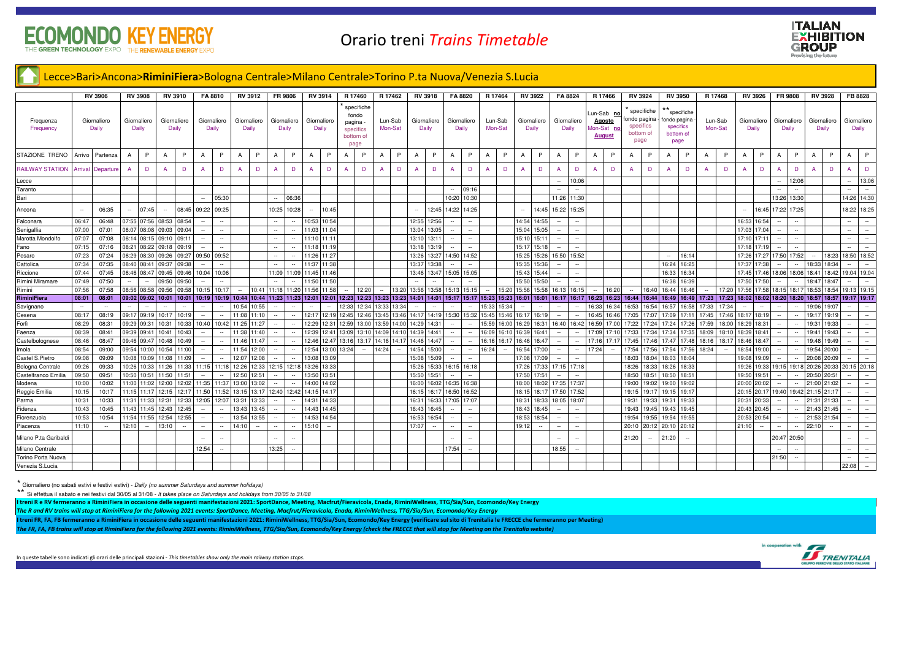## **KEY ENE** E THE GREEN TECHNOLOGY EXPO THE RENEWABLE ENERGY EX



## Lecce>Bari>Ancona>RiminiFiera>Bologna Centrale>Milano Centrale>Torino P.ta Nuova/Venezia S.Lucia

|                        | <b>RV 3906</b>           |           | <b>RV 3908</b>                            | <b>RV 3910</b>           |                      | FA 8810                  |                          | RV 3912     |                          | FR 9806                  |                          | RV 3914                  |       | R 17460                                                           |       | R 17462             | <b>RV 3918</b>          |                                              | FA 8820                  |                          | R 17464                                                     |                          | <b>RV 3922</b>    |                          | FA 8824                  |                | R 17466                                                   | <b>RV 3924</b>                                               |        | <b>RV 3950</b>                                |                                   | R 17468            |                          | <b>RV 3926</b>           |                          | <b>FR 9808</b>           |                | <b>RV 3928</b>           | FB 8828                            |
|------------------------|--------------------------|-----------|-------------------------------------------|--------------------------|----------------------|--------------------------|--------------------------|-------------|--------------------------|--------------------------|--------------------------|--------------------------|-------|-------------------------------------------------------------------|-------|---------------------|-------------------------|----------------------------------------------|--------------------------|--------------------------|-------------------------------------------------------------|--------------------------|-------------------|--------------------------|--------------------------|----------------|-----------------------------------------------------------|--------------------------------------------------------------|--------|-----------------------------------------------|-----------------------------------|--------------------|--------------------------|--------------------------|--------------------------|--------------------------|----------------|--------------------------|------------------------------------|
| Frequenza<br>Frequency | Giornaliero<br>Daily     |           | Giornaliero<br>Daily                      |                          | Giornaliero<br>Daily |                          | Giornaliero<br>Daily     |             | Giornaliero<br>Daily     | Giornaliero<br>Daily     |                          | Giornaliero<br>Daily     |       | specifiche<br>fondo<br>pagina -<br>specifics<br>bottom of<br>page |       | Lun-Sab<br>Mon-Sat  |                         | Giornaliero<br>Giornaliero<br>Daily<br>Daily |                          |                          | Lun-Sab<br>Mon-Sat                                          | Giornaliero<br>Daily     |                   |                          | Giornaliero<br>Daily     |                | un-Sab no<br><b>Agosto</b><br>Mon-Sat no<br><b>August</b> | specifiche<br>fondo pagina<br>specifics<br>bottom of<br>page |        | ondo pagina<br>specifics<br>bottom of<br>page | specifiche                        | Lun-Sab<br>Mon-Sat |                          | Giornaliero<br>Daily     |                          | Giornaliero<br>Daily     |                | Giornaliero<br>Daily     | Giornaliero<br>Daily               |
| STAZIONE TRENO         | Arrivo                   | Partenza  | P<br>$\mathsf{A}$                         | $\overline{A}$           | P                    | A                        | P                        | A           | P                        | $\overline{A}$           | P.                       | A                        | P     | P                                                                 |       | P<br>A              | A                       | P                                            | A                        | P                        | P<br>$\overline{A}$                                         | $\overline{A}$           | P                 | A                        | P                        | A              | P                                                         | A                                                            | P      | A                                             | P                                 | P                  | $\overline{A}$           | P                        | $\Delta$                 | P                        | $\overline{A}$ | P                        | P<br>$\overline{A}$                |
| <b>RAILWAY STATION</b> | Arriva                   | Departure | D<br>A                                    |                          | D                    |                          | D                        |             | D                        |                          | D                        | A                        | D     | D                                                                 |       | D<br>$\overline{A}$ | A                       | D                                            | A                        | D                        | D                                                           | $\overline{A}$           | D                 | $\Delta$                 | D                        | $\overline{A}$ | D                                                         |                                                              | D      | A                                             | D                                 | D                  | A                        | D                        | $\Delta$                 | D                        | $\mathbf{A}$   | D                        | D                                  |
| Lecce                  |                          |           |                                           |                          |                      |                          |                          |             |                          |                          |                          |                          |       |                                                                   |       |                     |                         |                                              |                          |                          |                                                             |                          |                   |                          | 10:06                    |                |                                                           |                                                              |        |                                               |                                   |                    |                          |                          | $\sim$                   | 12:06                    |                |                          | 13:06<br>$\overline{\phantom{a}}$  |
| Taranto                |                          |           |                                           |                          |                      |                          |                          |             |                          |                          |                          |                          |       |                                                                   |       |                     |                         |                                              |                          | 09:16                    |                                                             |                          |                   |                          |                          |                |                                                           |                                                              |        |                                               |                                   |                    |                          |                          |                          |                          |                |                          | $\overline{\phantom{a}}$           |
| Bari                   |                          |           |                                           |                          |                      | $\sim$                   | 05:30                    |             |                          | $\sim$                   | 06:36                    |                          |       |                                                                   |       |                     |                         |                                              |                          | 10:20 10:30              |                                                             |                          |                   |                          | 11:26 11:30              |                |                                                           |                                                              |        |                                               |                                   |                    |                          |                          |                          | 13:26 13:30              |                |                          | 14:26 14:30                        |
| Ancona                 |                          | 06:35     | 07:45<br>۰.                               | $\overline{\phantom{a}}$ | 08:45                | 09:22                    | 09:25                    |             |                          | 10:25                    | 10:28                    | $\overline{\phantom{a}}$ | 10:45 |                                                                   |       |                     |                         | 12:45                                        | 14:22                    | 14:25                    |                                                             |                          | 14:45             | 15:22                    | 15:25                    |                |                                                           |                                                              |        |                                               |                                   |                    | $\overline{\phantom{a}}$ | 16:45                    | 17:22                    | 17:25                    |                |                          | 18:22 18:25                        |
| Falconara              | 06:47                    | 06:48     | 07:55 07:56 08:53 08:54                   |                          |                      |                          |                          |             |                          | $\sim$                   |                          | 10:53                    | 10:54 |                                                                   |       |                     | 12:55                   | 12:56                                        |                          |                          |                                                             |                          | 14:54 14:55       |                          |                          |                |                                                           |                                                              |        |                                               |                                   |                    | 16:53                    | 16:54                    |                          |                          |                |                          | $\overline{\phantom{a}}$           |
| Senigallia             | 07:00                    | 07:01     | 08:07 08:08 09:03                         |                          | 09:04                |                          |                          |             |                          |                          |                          | 11:03                    | 11:04 |                                                                   |       |                     | 13:04                   | 13:05                                        |                          |                          |                                                             |                          | 15:04 15:05       |                          |                          |                |                                                           |                                                              |        |                                               |                                   |                    | 17:03                    | 17:04                    |                          |                          |                |                          | $\sim$                             |
| Marotta Mondolfo       | 07:07                    | 07:08     | 08:14 08:15 09:10 09:11                   |                          |                      | $\sim$                   | $\overline{\phantom{a}}$ |             |                          | $\sim$                   |                          | 11:10                    | 11:11 |                                                                   |       |                     | 13:10                   | 13:11                                        | $\overline{\phantom{a}}$ | $\overline{\phantom{a}}$ |                                                             |                          | 15:10 15:11       | $\overline{\phantom{a}}$ | $\sim$                   |                |                                                           |                                                              |        |                                               |                                   |                    | 17:10                    | 17:11                    |                          | $\overline{\phantom{a}}$ |                |                          | $\sim$<br>$\sim$                   |
| Fano                   | 07:15                    | 07:16     | 08:21 08:22 09:18 09:19                   |                          |                      |                          |                          |             |                          | $\sim$                   |                          | 11:18                    | 11:19 |                                                                   |       |                     | 13:18                   | 13:19                                        |                          |                          |                                                             |                          | 15:17 15:18       |                          |                          |                |                                                           |                                                              |        |                                               |                                   |                    | 17:18                    | 17:19                    |                          |                          |                |                          | $\sim$                             |
| Pesaro                 | 07:23                    | 07:24     | 08:29 08:30 09:26                         |                          |                      | 09:27 09:50 09:52        |                          |             |                          |                          |                          | 11:26                    | 11:27 |                                                                   |       |                     | 13:26                   | 13:27                                        |                          | 14:50 14:52              |                                                             |                          | 15:25 15:26       | 15:50                    | 15:52                    |                |                                                           |                                                              |        |                                               | 16:14                             |                    | 17:26                    | 7:27                     | 17:50                    | 17:52                    | $\sim$         | 18:23                    | 18:50 18:52                        |
| Cattolica              | 07:34                    | 07:35     | 08:40 08:41 09:37                         |                          | 09:38                |                          |                          |             |                          | $\sim$                   |                          | 11:37                    | 11:38 |                                                                   |       |                     | 13:37                   | 3:36                                         |                          |                          |                                                             | 5:35                     | 15:36             | $\overline{\phantom{a}}$ |                          |                |                                                           |                                                              |        | 16:24                                         | 16:25                             |                    | 17:37                    | 17:38                    |                          |                          | 18:33          | 18:34                    | $\overline{\phantom{a}}$           |
| Riccione               | 07:44                    | 07:45     | 08:46 08:47 09:45 09:46 10:04             |                          |                      |                          | 10:06                    |             |                          |                          | 11:09 11:09              | 11:45                    | 11:46 |                                                                   |       |                     | 13:46                   | 13:47                                        | 15:05 15:05              |                          |                                                             |                          | 15:43 15:44       | $\sim$                   | $\sim$                   |                |                                                           |                                                              |        | 16:33                                         | 16:34                             |                    | 17:45                    | 17:46                    | 18:06                    | 18:06                    | 18:41          | 18:42                    | 19:04 19:04                        |
| Rimini Miramare        | 07:49                    | 07:50     |                                           | 09:50                    | 09:50                |                          |                          |             |                          |                          |                          | 11:50                    | 11:50 |                                                                   |       |                     |                         |                                              |                          |                          |                                                             |                          | 15:50 15:50       |                          |                          |                |                                                           |                                                              |        | 16:38                                         | 16:39                             |                    | 17:50                    | 17:50                    |                          |                          | 18:47          | 18:47                    |                                    |
| Rimini                 | 07:56                    | 07:58     | 08:56 08:58 09:56 09:58                   |                          |                      | 10:15                    | 10:17                    | $\sim$      |                          | 10:41 11:18 11:20 11:56  |                          |                          | 11:58 | 12:20<br>$\sim$                                                   |       | 13:20<br>$\sim$     | 13:56 13:58 15:13 15:15 |                                              |                          |                          | 15:20<br>$\sim$                                             |                          | 15:56 15:58 16:13 |                          | 16:15                    | $\sim$         | 16:20                                                     | $\overline{\phantom{a}}$                                     | 16:40  | 16:44                                         | 16:46<br>$\overline{\phantom{a}}$ | 17:20              | 17:56                    | 17:58                    |                          | 18:15 18:17              | 18:53          | 18:54                    | 19:13 19:15                        |
| RiminiFiera            | 08:01                    | 08:01     | 09:02 09:02 10:01 10:01 10:19 10:19 10:44 |                          |                      |                          |                          |             |                          | 10:44 11:23 11:23 12:01  |                          |                          | 12:01 |                                                                   |       |                     |                         |                                              |                          |                          | 12:23 12:23 13:23 13:23 14:01 14:01 15:17 15:17 15:23 15:23 |                          |                   |                          |                          |                |                                                           | 16:01 16:01 16:17 16:17 16:23 16:23 16:44 16:44              |        | 16:49                                         | 16:49 17:23 17:23                 |                    |                          | 18:02 18:02 18:20 18:20  |                          |                          | 18:57          |                          | 18:57 19:17 19:17                  |
| Savignano              | $\overline{\phantom{a}}$ |           |                                           |                          |                      |                          |                          | 10:54       | 10:55                    |                          |                          | $\sim$                   |       | 12:34<br>12:33                                                    |       | 13:33<br>13:34      |                         | $\overline{\phantom{a}}$                     | $\overline{\phantom{a}}$ |                          | 15:33 15:34                                                 | $\overline{\phantom{a}}$ | $\sim$            | $\sim$                   |                          | 16:33          | 16:34                                                     | 16:53                                                        | 16:54  | 16:57                                         | 17:33<br>16:58                    | 17:34              | $\sim$                   | $\overline{\phantom{a}}$ |                          |                          | 19:06          | 19:07                    |                                    |
| Cesena                 | 08:1'                    | 08:19     | 09:17 09:19 10:17                         |                          | 10:19                | $\overline{\phantom{a}}$ | $\overline{\phantom{a}}$ | 11:08       | 1:10                     | $\overline{\phantom{a}}$ |                          | 12:17                    | 12:19 | 2:45                                                              | 12:46 | 13:45<br>13:46      | 14:17                   | 14:19                                        | 15:30                    | 15:32                    | 15:45 15:46                                                 | 16:17                    | 16:19             | $\overline{\phantom{a}}$ |                          | 16:45          | 16:46                                                     | 17:05                                                        | 17:07  | 17:09                                         | 17:45<br>17:11                    | 17:46              | 18:17                    | 18:19                    |                          |                          | 19:17          | 19:19                    |                                    |
| Forlì                  | 08:29                    | 08:31     | 09:29 09:31                               | 10:31                    | 10:33                | 10:40                    |                          | 10:42 11:25 | 1:27                     | $\sim$                   |                          | 12:29                    | 12:31 | 12:59<br>13:00                                                    |       | 13:59<br>14:00      | 14:29                   | 14:31                                        |                          |                          | 15:59 16:00                                                 | 6:29                     | 16:31             | 16:40                    | 16:42                    | 16:59          | 17:00                                                     | 17:22                                                        | 17:24  | 17:24                                         | 17:26<br>17:59                    | 18:00              | 18:29                    | 18:31                    |                          |                          | 19:31          | 19:33                    |                                    |
| Faenza                 | 08:39                    | 08:41     | 09:39 09:41                               | 10:41                    | 10:43                |                          |                          | 11:38       | 11:40                    |                          |                          | 12:39                    | 12:41 | 13:10<br>3:09                                                     |       | 14:09<br>14:10      | 14:39                   | 14:4                                         |                          |                          | 16:09 16:10                                                 | 6:39                     | 16:41             |                          |                          | 17:09          | 17:10                                                     | 17:33                                                        | 17:34  | 17:34                                         | 17:35<br>18:09                    | 18:10              | 18:39                    | 18:41                    |                          |                          | 19:41          | 19:43                    |                                    |
| Castelbolognese        | 08:46                    | 08:47     | 09:46 09:47 10:48                         |                          | 10:49                | $\sim$                   |                          | 11:46       | 1:47                     | $\overline{\phantom{a}}$ |                          | 12:46                    | 12:47 | 13:16<br>13:17                                                    |       | 14:16<br>14:17      | 14:46                   | 4:47                                         | $\sim$                   |                          | 16:16 16:1                                                  | 16:46                    | 16:47             | $\sim$                   |                          | 17:16          |                                                           | 17:45                                                        | 17:46  | 17:47                                         | 17:48<br>18:16                    | 18:17              | 18:46                    | 18:47                    |                          |                          | 19:48          | 19:49                    |                                    |
| lmola                  | 08:54                    | 09:00     | 09:54 10:00 10:54                         |                          | 11:00                | $\sim$                   |                          | 11:54       | 12:00                    | $\sim$                   |                          | 12:54                    | 13:00 | 13:24<br>$\sim$                                                   |       | 14:24<br>$\sim$     | 14:54                   | 15:00                                        | $\sim$                   | $\sim$                   | 16:24                                                       |                          | 6:54 17:00        | $\sim$                   | $\sim$                   | 17:24          | $\sim$                                                    | 17:54                                                        | 17:56  | 17:54 17:56                                   | 18:24                             | $\sim$             | 18:54                    | 19:00                    | $\sim$                   | $\overline{\phantom{a}}$ | 19:54          | 20:00                    | $\sim$                             |
| Castel S.Pietro        | 09:08                    | 09:09     | 10:08 10:09 11:08                         |                          | 11:09                |                          |                          | 12:0        | 12:08                    |                          |                          | 13:08                    | 13:09 |                                                                   |       |                     | 15:08                   | 15:09                                        |                          |                          |                                                             | 17:08                    | 17:09             |                          |                          |                |                                                           | 18:03                                                        | 18:04  | 18:03                                         | 18:04                             |                    | 19:08                    | 9:09                     |                          |                          | 20:08          | 20:09                    |                                    |
| Bologna Centrale       | 09:26                    | 09:33     | 10:26 10:33 11:26                         |                          | 11:33                | 11:15                    | 11:18                    | 12:26       |                          | 12:33 12:15 12:18        |                          | 13:26                    | 13:33 |                                                                   |       |                     | 15:26                   | 5:33                                         |                          | 16:15 16:18              |                                                             | 7:26                     | 17:33             | 17:15                    | 17:18                    |                |                                                           | 18:26                                                        | 18:33  | 18:26                                         | 18:33                             |                    | 19:26                    | 9:33                     |                          | 19:15 19:18              | 20:26          | 20:33                    | 20:15 20:18                        |
| Castelfranco Emilia    | 09:50                    | 09:51     | 10:50 10:51 11:50                         |                          | 11:51                | $\sim$                   |                          | 12:50       | 12:51                    | $\sim$                   |                          | 13:50                    | 13:51 |                                                                   |       |                     | 15:50                   | 15:51                                        |                          |                          |                                                             |                          | 17:50 17:51       |                          | $\overline{\phantom{a}}$ |                |                                                           | 18:50                                                        | 18:51  | 18:50                                         | 18:51                             |                    | 19:50                    | 19:51                    |                          |                          | 20:50          | 20:51                    |                                    |
| Modena                 | 10:00                    | 10:02     | 11:00 11:02 12:00                         |                          | 12:02                | 11:35                    | 11:37                    | 13:00       | 13:02                    |                          |                          | 14:00                    | 14:02 |                                                                   |       |                     | 16:00                   | 16:02                                        | 16:35 16:38              |                          |                                                             |                          | 18:00 18:02       | 17:35                    | 17:37                    |                |                                                           | 19:00                                                        | 19:02  | 19:00                                         | 19:02                             |                    | 20:00                    | 20:02                    |                          |                          | 21:00          | 21:02                    |                                    |
| Reggio Emilia          | 10:15                    | 10:17     | 11:15 11:17                               | 12:15                    | 12:17                | 11:50                    | 11:52                    | 13:15       |                          | 13:17 12:40 12:42        |                          | 14:15                    | 14:17 |                                                                   |       |                     | 16:15                   | 16:17                                        | 16:50 16:52              |                          |                                                             |                          | 18:15 18:17       | 17:50                    | 17:52                    |                |                                                           | 19:15                                                        | 19:1   | 19:15                                         | 19:1                              |                    | 20:15                    | 20:17                    | 19:40                    | 19:42                    | 21:15          | 21:17                    |                                    |
| Parma                  | 10:31                    | 10:33     | 11:31 11:33 12:31                         |                          |                      | 12:33 12:05              |                          | 12:07 13:31 | 13:33                    | $\sim$                   |                          | 14:31                    | 14:33 |                                                                   |       |                     | 16:31                   | 16:33                                        | 17:05 17:07              |                          |                                                             |                          | 18:31 18:33       | 18:05                    | 18:07                    |                |                                                           | 19:31                                                        | 19:33  | 19:31                                         | 19:33                             |                    |                          | 20:31 20:33              | $\sim$                   | $\overline{\phantom{a}}$ | 21:31 21:33    |                          | $\sim$<br>$\sim$                   |
| Fidenza                | 10:43                    | 10:45     | 11:43 11:45 12:43                         |                          | 12:45                | $\sim$                   |                          | 13:43       | 13:45                    |                          |                          | 14:43                    | 14:45 |                                                                   |       |                     | 16:43                   | 16:45                                        |                          |                          |                                                             |                          | 18:43 18:45       |                          |                          |                |                                                           | 19:43                                                        | 19:45  | 19:43                                         | 19:45                             |                    | 20:43                    | 20:45                    | $\overline{\phantom{a}}$ |                          | 21:43          | 21:45                    |                                    |
| Fiorenzuola            | 10:53                    | 10:54     | 11:54 11:55 12:54                         |                          | 12:55                | $\sim$                   | $\overline{\phantom{a}}$ | 13:54       | 13:55                    | $\sim$                   |                          | 14:53                    | 14:54 |                                                                   |       |                     | 16:53                   | 16:54                                        | $\sim$                   | $\overline{\phantom{a}}$ |                                                             | 18:53                    | 18:54             | ٠.                       |                          |                |                                                           | 19:54                                                        | 19:55  | 19:54                                         | 19:55                             |                    | 20:53                    | 20:54                    | $\sim$                   | $\overline{\phantom{a}}$ | 21:53          | 21:54                    | $\sim$<br>$\overline{\phantom{a}}$ |
| Piacenza               | 11:10                    | $\sim$    | 12:10<br>$\sim$                           | 13:10                    | $\sim$               | $\sim$                   | $\sim$                   | 14:10       | $\overline{\phantom{a}}$ | $\sim$                   | $\overline{\phantom{a}}$ | 15:10                    |       |                                                                   |       |                     | 17:07                   | $\overline{\phantom{a}}$                     | $\overline{\phantom{a}}$ | $\overline{\phantom{a}}$ |                                                             | 19:12                    | $\sim$            | $\sim$                   | $\overline{\phantom{a}}$ |                |                                                           | 20:10                                                        |        | 20:12 20:10 20:12                             |                                   |                    | 21:10                    | $\sim$                   | $\sim$                   | $\sim$                   | 22:10          | $\overline{\phantom{a}}$ | $\sim$<br>$\sim$                   |
| Milano P.ta Garibaldi  |                          |           |                                           |                          |                      |                          |                          |             |                          |                          |                          |                          |       |                                                                   |       |                     |                         |                                              |                          |                          |                                                             |                          |                   |                          |                          |                |                                                           | 21:20                                                        | $\sim$ | 21:20                                         | $\sim$                            |                    |                          |                          |                          | 20:47 20:50              |                |                          | $\overline{\phantom{a}}$           |
| Milano Centrale        |                          |           |                                           |                          |                      | 12:54                    | $\sim$                   |             |                          | 13:25                    | $\overline{\phantom{a}}$ |                          |       |                                                                   |       |                     |                         |                                              | 17:54                    | $\sim$                   |                                                             |                          |                   | 18:55                    | $\sim$                   |                |                                                           |                                                              |        |                                               |                                   |                    |                          |                          | $\sim$                   | $\overline{\phantom{a}}$ |                |                          | $\sim$<br>$\sim$                   |
| Torino Porta Nuova     |                          |           |                                           |                          |                      |                          |                          |             |                          |                          |                          |                          |       |                                                                   |       |                     |                         |                                              |                          |                          |                                                             |                          |                   |                          |                          |                |                                                           |                                                              |        |                                               |                                   |                    |                          |                          | 21:50                    |                          |                |                          |                                    |
| Venezia S.Lucia        |                          |           |                                           |                          |                      |                          |                          |             |                          |                          |                          |                          |       |                                                                   |       |                     |                         |                                              |                          |                          |                                                             |                          |                   |                          |                          |                |                                                           |                                                              |        |                                               |                                   |                    |                          |                          |                          |                          |                |                          | 22:08<br>$\sim$                    |

\* Giornaliero (no sabati estivi e festivi estivi) - Daily (no summer Saturdays and summer holidays)

\*\* Si effettua il sabato e nei festivi dal 30/05 al 31/08 - It takes place on Saturdays and holidays from 30/05 to 31/08

I treni R e RV fermeranno a RiminiFiera in occasione delle seguenti manifestazioni 2021: SportDance, Meeting, Macfrut/Fieravicola, Enada, RiminiWellness, TTG/Sia/Sun, Ecomondo/Key Energy

The R and RV trains will stop at RiminiFiera for the following 2021 events: SportDance, Meeting, Macfrut/Fieravicola, Enada, RiminiWellness, TTG/Sia/Sun, Ecomondo/Key Energy

I treni FR, FA, FB fermeranno a RiminiFiera in occasione delle seguenti manifestazioni 2021: RiminiWellness, TTG/Sia/Sun, Ecomondo/Key Energy (verificare sul sito di Trenitalia le FRECCE che fermeranno per Meeting)

The FR, FA, FB trains will stop at RiminiFiera for the following 2021 events: RiminiWellness, TTG/Sia/Sun, Ecomondo/Key Energy (check the FRECCE that will stop for Meeting on the Trenitalia website)



In queste tabelle sono indicati gli orari delle principali stazioni - This timetables show only the main railway station stops.